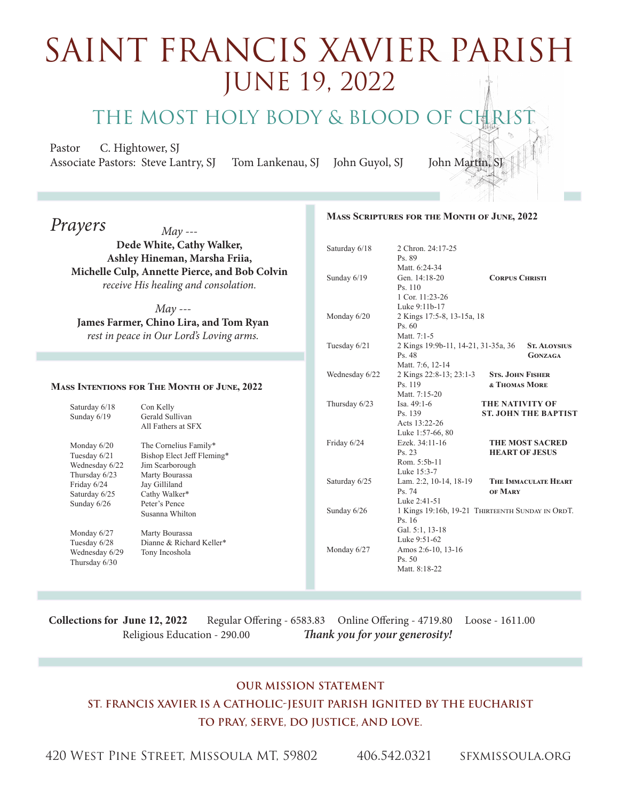## saint FRancis xavier parish June 19, 2022

THE MOST HOLY BODY & BLOOD OF CHRIST

**COL** 

Pastor C. Hightower, SJ Associate Pastors: Steve Lantry, SJ Tom Lankenau, SJ John Guyol, SJ John Martin,

| Prayers                                                                               | $May --$                                                                                       |                | MASS SCRIPTURES FOR THE MONTH OF JUNE, 2022                          |                                                  |
|---------------------------------------------------------------------------------------|------------------------------------------------------------------------------------------------|----------------|----------------------------------------------------------------------|--------------------------------------------------|
| Dede White, Cathy Walker,<br>Ashley Hineman, Marsha Friia,                            |                                                                                                | Saturday 6/18  | 2 Chron. 24:17-25<br>Ps. 89                                          |                                                  |
| Michelle Culp, Annette Pierce, and Bob Colvin<br>receive His healing and consolation. |                                                                                                | Sunday 6/19    | Matt. 6:24-34<br>Gen. 14:18-20<br>Ps. 110<br>1 Cor. 11:23-26         | <b>CORPUS CHRISTI</b>                            |
|                                                                                       | $May --$<br>James Farmer, Chino Lira, and Tom Ryan<br>rest in peace in Our Lord's Loving arms. | Monday 6/20    | Luke 9:11b-17<br>2 Kings 17:5-8, 13-15a, 18<br>Ps. 60<br>Matt. 7:1-5 |                                                  |
|                                                                                       |                                                                                                | Tuesday 6/21   | 2 Kings 19:9b-11, 14-21, 31-35a, 36<br>Ps. 48<br>Matt. 7:6, 12-14    | <b>ST. ALOYSIUS</b><br><b>GONZAGA</b>            |
| MASS INTENTIONS FOR THE MONTH OF JUNE, 2022                                           |                                                                                                | Wednesday 6/22 | 2 Kings 22:8-13; 23:1-3<br>Ps. 119<br>Matt. 7:15-20                  | <b>STS. JOHN FISHER</b><br>& THOMAS MORE         |
| Saturday 6/18<br>Sunday 6/19                                                          | Con Kelly<br>Gerald Sullivan<br>All Fathers at SFX                                             | Thursday 6/23  | Isa. 49:1-6<br>Ps. 139<br>Acts 13:22-26<br>Luke 1:57-66, 80          | THE NATIVITY OF<br><b>ST. JOHN THE BAPTIST</b>   |
| Monday 6/20<br>Tuesday 6/21<br>Wednesday 6/22<br>Thursday 6/23                        | The Cornelius Family*<br>Bishop Elect Jeff Fleming*<br>Jim Scarborough<br>Marty Bourassa       | Friday 6/24    | Ezek. 34:11-16<br>Ps. 23<br>Rom. 5:5b-11<br>Luke 15:3-7              | <b>THE MOST SACRED</b><br><b>HEART OF JESUS</b>  |
| Friday 6/24<br>Saturday 6/25<br>Sunday 6/26                                           | Jay Gilliland<br>Cathy Walker*<br>Peter's Pence                                                | Saturday 6/25  | Lam. 2:2, 10-14, 18-19<br>Ps. 74<br>Luke 2:41-51                     | THE IMMACULATE HEART<br>OF MARY                  |
| Monday 6/27                                                                           | Susanna Whilton<br>Marty Bourassa                                                              | Sunday 6/26    | Ps. 16<br>Gal. 5:1, 13-18                                            | 1 Kings 19:16b, 19-21 THIRTEENTH SUNDAY IN ORDT. |
| Tuesday 6/28<br>Wednesday 6/29<br>Thursday 6/30                                       | Dianne & Richard Keller*<br>Tony Incoshola                                                     | Monday 6/27    | Luke 9:51-62<br>Amos 2:6-10, 13-16<br>Ps. 50<br>Matt. 8:18-22        |                                                  |

**Collections for June 12, 2022** Regular Offering - 6583.83 Online Offering - 4719.80 Loose - 1611.00 Religious Education - 290.00 *Thank you for your generosity!* 

## **Our Mission Statement St. Francis Xavier is a Catholic-Jesuit parish ignited by the Eucharist To Pray, Serve, Do Justice, and Love.**

420 West Pine Street, Missoula MT, 59802 406.542.0321 sfxmissoula.org